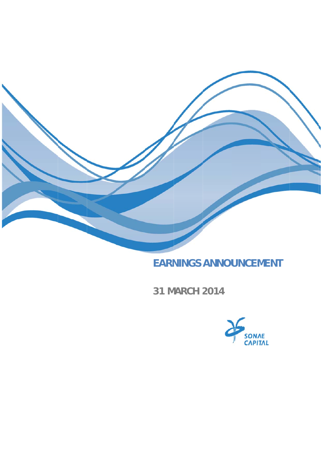

# **EARNINGS ANNOUNCEMENT**

31 MARCH 2014

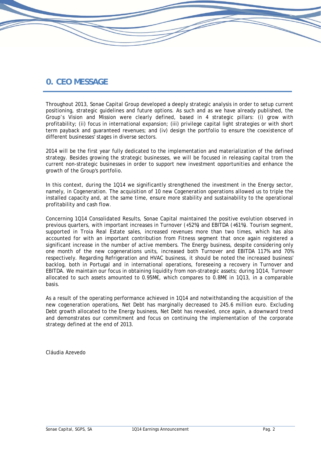## **0. CEO MESSAGE**

Throughout 2013, Sonae Capital Group developed a deeply strategic analysis in order to setup current positioning, strategic guidelines and future options. As such and as we have already published, the Group's Vision and Mission were clearly defined, based in 4 strategic pillars: (i) grow with profitability; (ii) focus in international expansion; (iii) privilege capital light strategies or with short term payback and guaranteed revenues; and (iv) design the portfolio to ensure the coexistence of different businesses' stages in diverse sectors.

2014 will be the first year fully dedicated to the implementation and materialization of the defined strategy. Besides growing the strategic businesses, we will be focused in releasing capital trom the current non-strategic businesses in order to support new investment opportunities and enhance the growth of the Group's portfolio.

In this context, during the 1Q14 we significantly strengthened the investment in the Energy sector, namely, in Cogeneration. The acquisition of 10 new Cogeneration operations allowed us to triple the installed capacity and, at the same time, ensure more stability and sustainability to the operational profitability and cash flow.

Concerning 1Q14 Consolidated Results, Sonae Capital maintained the positive evolution observed in previous quarters, with important increases in Turnover (+52%) and EBITDA (+61%). Tourism segment, supported in Troia Real Estate sales, increased revenues more than two times, which has also accounted for with an important contribution from Fitness segment that once again registered a significant increase in the number of active members. The Energy business, despite considering only one month of the new cogenerations units, increased both Turnover and EBITDA 117% and 70% respectively. Regarding Refrigeration and HVAC business, it should be noted the increased business' backlog, both in Portugal and in international operations, foreseeing a recovery in Turnover and EBITDA. We maintain our focus in obtaining liquidity from non-strategic assets; during 1Q14, Turnover allocated to such assets amounted to 0.95M€, which compares to 0.8M€ in 1Q13, in a comparable basis.

As a result of the operating performance achieved in 1Q14 and notwithstanding the acquisition of the new cogeneration operations, Net Debt has marginally decreased to 245.6 million euro. Excluding Debt growth allocated to the Energy business, Net Debt has revealed, once again, a downward trend and demonstrates our commitment and focus on continuing the implementation of the corporate strategy defined at the end of 2013.

Cláudia Azevedo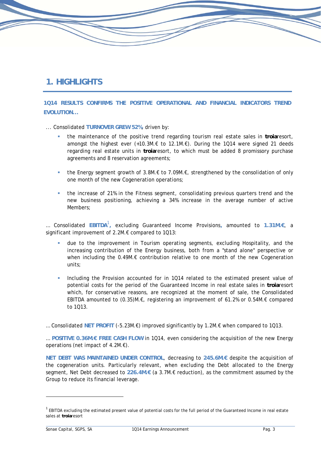## **1. HIGHLIGHTS**

**1Q14 RESULTS CONFIRMS THE POSITIVE OPERATIONAL AND FINANCIAL INDICATORS TREND EVOLUTION...** 

... Consolidated **TURNOVER GREW 52%**, driven by:

- the maintenance of the positive trend regarding tourism real estate sales in **troia**resort, amongst the highest ever (+10.3M.€ to 12.1M.€). During the 1Q14 were signed 21 deeds regarding real estate units in **troia**resort, to which must be added 8 promissory purchase agreements and 8 reservation agreements;
- **■** the Energy segment growth of  $3.8M \text{·} \text{\textsterling}$  to  $7.09M \text{·} \text{\textsterling}$ , strengthened by the consolidation of only one month of the new Cogeneration operations;
- the increase of 21% in the Fitness segment, consolidating previous quarters trend and the new business positioning, achieving a 34% increase in the average number of active Members;

… Consolidated **EBITDA**<sup>1</sup> **,** excluding Guaranteed Income Provisions**,** amounted to **1.31M.€**, a significant improvement of 2.2M.€ compared to 1Q13:

- due to the improvement in Tourism operating segments, excluding Hospitality, and the increasing contribution of the Energy business, both from a "stand alone" perspective or when including the 0.49M.€ contribution relative to one month of the new Cogeneration units;
- Including the Provision accounted for in 1Q14 related to the estimated present value of potential costs for the period of the Guaranteed Income in real estate sales in **troia**resort which, for conservative reasons, are recognized at the moment of sale, the Consolidated EBITDA amounted to (0.35)M.€, registering an improvement of 61.2% or 0.54M.€ compared to 1Q13.

… Consolidated **NET PROFIT** (-5.23M.€) improved significantly by 1.2M.€ when compared to 1Q13.

… **POSITIVE 0.36M.€ FREE CASH FLOW** in 1Q14, even considering the acquisition of the new Energy operations (net impact of 4.2M.€).

**NET DEBT WAS MAINTAINED UNDER CONTROL**, decreasing to **245.6M.€** despite the acquisition of the cogeneration units. Particularly relevant, when excluding the Debt allocated to the Energy segment, Net Debt decreased to **226.4M.€** (a 3.7M.€ reduction), as the commitment assumed by the Group to reduce its financial leverage.

 $1$  EBITDA excluding the estimated present value of potential costs for the full period of the Guaranteed Income in real estate sales at **troia**resort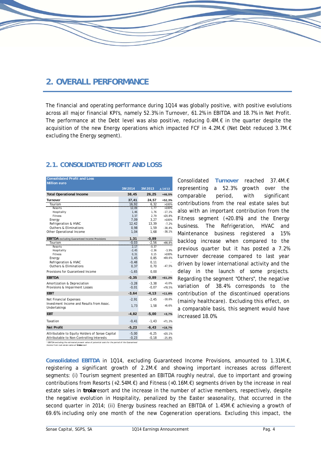## **2. OVERALL PERFORMANCE**

The financial and operating performance during 1Q14 was globally positive, with positive evolutions across all major financial KPI's, namely 52.3% in Turnover, 61.2% in EBITDA and 18.7% in Net Profit. The performance at the Debt level was also positive, reducing 0.4M.€ in the quarter despite the acquisition of the new Energy operations which impacted FCF in 4.2M.€ (Net Debt reduced 3.7M.€ excluding the Energy segment).

| <b>2.1. CONSOLIDATED PROFIT AND LOSS</b> |  |
|------------------------------------------|--|
|------------------------------------------|--|

| <b>Consolidated Profit and Loss</b><br><b>Million euro</b> |          |          |          |
|------------------------------------------------------------|----------|----------|----------|
|                                                            | 3M 2014  | 3M 2013  | ∆ 14/13  |
| <b>Total Operational Income</b>                            | 38,45    | 26,25    | $+46,5%$ |
| <b>Turnover</b>                                            | 37,41    | 24,57    | $+52,3%$ |
| Tourism                                                    | 16,92    | 6, 32    | >100%    |
| Resorts                                                    | 12,09    | 1,77     | >100%    |
| Hospitality                                                | 1,46     | 1,76     | $-17,1%$ |
| Fitness                                                    | 3,37     | 2,79     | $+20,8%$ |
| Energy                                                     | 7,09     | 3,27     | >100%    |
| Refrigeration & HVAC                                       | 12,42    | 13,39    | $-7,2%$  |
| <b>Outhers &amp; Eliminations</b>                          | 0.98     | 1,59     | $-38,4%$ |
| Other Operational Income                                   | 1,04     | 1,68     | $-38,1%$ |
| <b>EBITDA</b> excluding Guaranteed Income Provisions       | 1,31     | $-0,89$  |          |
| Tourism                                                    | $-0.03$  | $-2.56$  | $+98,8%$ |
| Resorts                                                    | 2,17     | $-0,37$  |          |
| Hospitality                                                | $-2,45$  | $-2,36$  | $-3,9%$  |
| Fitness                                                    | 0,31     | 0, 15    | >100%    |
| Energy                                                     | 1,45     | 0,85     | $+69,6%$ |
| Refrigeration & HVAC                                       | $-0,48$  | 0, 11    |          |
| <b>Outhers &amp; Eliminations</b>                          | 0,37     | 0,70     | $-47,5%$ |
| Provisions for Guaranteed Income                           | $-1,65$  | 0,00     |          |
| <b>EBITDA</b>                                              | $-0, 35$ | $-0,89$  | $+61,2%$ |
| Amortization & Depreciation                                | $-3.28$  | $-3.38$  | $+3,0%$  |
| Provisions & Impairment Losses                             | $-0,01$  | $-0,07$  | $+78,5%$ |
| <b>EBIT</b>                                                | $-3,64$  | $-4, 13$ | $+11,8%$ |
| <b>Net Financial Expenses</b>                              | $-2,91$  | $-2,45$  | $-18,6%$ |
| Investment Income and Results from Assoc.<br>Undertakings  | 1.73     | 1,58     | $+9,6%$  |
| <b>EBT</b>                                                 | $-4,82$  | $-5,00$  | $+3,7%$  |
|                                                            |          |          |          |
| Taxation                                                   | $-0,41$  | $-1,43$  | $+71,3%$ |
| <b>Net Profit</b>                                          | $-5,23$  | $-6, 43$ | $+18,7%$ |
| Attributable to Equity Holders of Sonae Capital            | $-5,00$  | $-6,25$  | $+20,1%$ |
| Attributable to Non-Controlling Interests                  | $-0,23$  | $-0,18$  | $-25,8%$ |

Consolidated **Turnover** reached 37.4M.€ representing a 52.3% growth over the comparable period, with significant contributions from the real estate sales but also with an important contribution from the Fitness segment (+20.8%) and the Energy business. The Refrigeration, HVAC and Maintenance business registered a 15% backlog increase when compared to the previous quarter but it has posted a 7.2% turnover decrease compared to last year driven by lower international activity and the delay in the launch of some projects. Regarding the segment "Others", the negative variation of 38.4% corresponds to the contribution of the discontinued operations (mainly healthcare). Excluding this effect, on a comparable basis, this segment would have increased 18.0%.

*\* EBITDA excluding t he est imat ed present value of pot ent ial cost s for t he period of t he Guarant eed Income from real est at e sales at troiaresort*

**Consolidated EBITDA** in 1Q14, excluding Guaranteed Income Provisions, amounted to 1.31M.€, registering a significant growth of 2.2M.€ and showing important increases across different segments: (i) Tourism segment presented an EBITDA roughly neutral, due to important and growing contributions from Resorts (+2.54M. $\epsilon$ ) and Fitness (+0.16M. $\epsilon$ ) segments driven by the increase in real estate sales in **troia**resort and the increase in the number of active members, respectively, despite the negative evolution in Hospitality, penalized by the Easter seasonality, that occurred in the second quarter in 2014; (ii) Energy business reached an EBITDA of 1.45M.€ achieving a growth of 69.6% including only one month of the new Cogeneration operations. Excluding this impact, the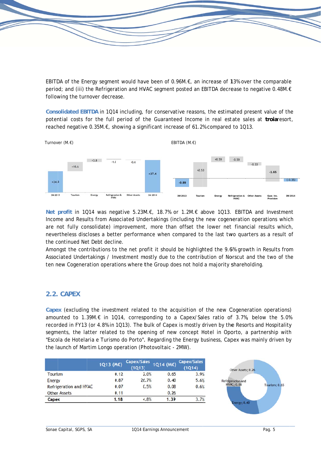EBITDA of the Energy segment would have been of 0.96M. $\epsilon$  an increase of 13% over the comparable period; and (iii) the Refrigeration and HVAC segment posted an EBITDA decrease to negative 0.48M.€ following the turnover decrease.

Consolidated EBITDA in 1Q14 including, for conservative reasons, the estimated present value of the potential costs for the full period of the Guaranteed Income in real estate sales at troiaresort, reached negative 0.35M.€, showing a significant increase of 61.2% compared to 1Q13.



Net profit in 1Q14 was negative 5.23M.€, 18.7% or 1.2M.€ above 1Q13. EBITDA and Investment Income and Results from Associated Undertakings (including the new cogeneration operations which are not fully consolidate) improvement, more than offset the lower net financial results which, nevertheless discloses a better performance when compared to the last two quarters as a result of the continued Net Debt decline.

Amongst the contributions to the net profit it should be highlighted the 9.6% growth in Results from Associated Undertakings / Investment mostly due to the contribution of Norscut and the two of the ten new Cogeneration operations where the Group does not hold a majority shareholding.

### 2.2. CAPEX

Capex (excluding the investment related to the acquisition of the new Cogeneration operations) amounted to 1.39M.€ in 1Q14, corresponding to a Capex/Sales ratio of 3.7%, below the 5.0% recorded in FY13 (or 4.8% in 1013). The bulk of Capex is mostly driven by the Resorts and Hospitality segments, the latter related to the opening of new concept Hotel in Oporto, a partnership with "Escola de Hotelaria e Turismo do Porto", Regarding the Energy business, Capex was mainly driven by the launch of Martim Longo operation (Photovoltaic - 2MW).

|                        | 1Q13 (M€) | Capex/Sales<br>(1Q13) | 1Q14 (M€) | Capex/Sales<br>(1Q14) |
|------------------------|-----------|-----------------------|-----------|-----------------------|
| Tourism                | 0.12      | 2.0%                  | 0.65      | 3.9%                  |
| <b>Energy</b>          | 0.87      | 26.7%                 | 0.40      | 5.6%                  |
| Refrigeration and HVAC | 0.07      | 0.5%                  | 0.08      | 0.6%                  |
| <b>Other Assets</b>    | 0.11      |                       | 0.26      |                       |
| Capex                  | 1.18      | 4.8%                  | 1.39      | 3.7%                  |

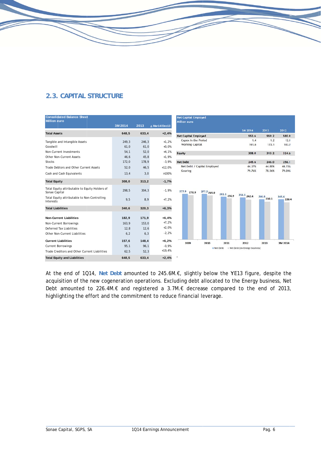## **2.3. CAPITAL STRUCTURE**

| <b>Consolidated Balance Sheet</b><br><b>Million euro</b>        |         |       |               | <b>Net Capital Employed</b><br><b>Million euro</b> |                               |                |                |
|-----------------------------------------------------------------|---------|-------|---------------|----------------------------------------------------|-------------------------------|----------------|----------------|
|                                                                 | 3M 2014 | 2013  | ∆ Mar14/Dec13 |                                                    |                               |                |                |
| <b>Total Assets</b>                                             | 648,5   | 633,4 | $+2,4%$       |                                                    | 3M 2014                       | 2013           | 2012           |
|                                                                 |         |       |               | <b>Net Capital Employed</b>                        | 553.6                         | 559.2          | 580.0          |
| Tangible and Intangible Assets                                  | 249,3   | 246,3 | $+1,2%$       | Capex in the Period                                | 1,4                           | 1.2            | 12.1           |
| Goodwill                                                        | 61,0    | 61,0  | $+0,0%$       | <b>Working Capital</b>                             | 161.6                         | 173.1          | 183.2          |
| Non-Current Investments                                         | 54,1    | 52,0  | $+4,1%$       | Equity                                             | 308.0                         | 313.2          | 324.0          |
| <b>Other Non-Current Assets</b>                                 | 46,6    | 45,8  | $+1,9%$       |                                                    |                               |                |                |
| <b>Stocks</b>                                                   | 172,0   | 178,9 | $-3,9%$       | <b>Net Debt</b>                                    | 245.6                         | 246.0          | 256.1          |
| Trade Debtors and Other Current Assets                          | 52,0    | 46,5  | $+12,0%$      | Net Debt / Capital Employed                        | 44.37%                        | 44.00%         | 44.15%         |
| Cash and Cash Equivalents                                       | 13,4    | 3,0   | >100%         | Gearing                                            | 79.76%                        | 78.56%         | 79.04%         |
|                                                                 |         |       |               |                                                    |                               |                |                |
| <b>Total Equity</b>                                             | 308,0   | 313,2 | $-1,7%$       |                                                    |                               |                |                |
| Total Equity attributable to Equity Holders of<br>Sonae Capital | 298,5   | 304,3 | $-1,9%$       | 277.9<br>277.2 269.0<br>270.9                      |                               |                |                |
| Total Equity attributable to Non-Controlling<br>Interests       | 9,5     | 8,9   | $+7,2%$       | $261.1$ 250.9                                      | 256.1 242.4                   | 246.0<br>230.1 | 245.6<br>226.4 |
| <b>Total Liabilities</b>                                        | 340,6   | 320,3 | $+6,3%$       |                                                    |                               |                |                |
|                                                                 |         |       |               |                                                    |                               |                |                |
| <b>Non-Current Liabilities</b>                                  | 182,9   | 171,9 | $+6,4%$       |                                                    |                               |                |                |
| Non-Current Borrowings                                          | 163,9   | 153,0 | $+7,2%$       |                                                    |                               |                |                |
| <b>Deferred Tax Liabilities</b>                                 | 12,8    | 12,6  | $+2,0%$       |                                                    |                               |                |                |
| Other Non-Current Liabilities                                   | 6, 2    | 6,3   | $-2,2%$       |                                                    |                               |                |                |
| <b>Current Liabilities</b>                                      | 157,6   | 148,4 | $+6,2%$       |                                                    |                               |                |                |
| <b>Current Borrowings</b>                                       | 95,1    | 96,1  | $-0,9%$       | 2009<br>2010<br>2011                               | 2012                          | 2013           | 3M 2014        |
| Trade Creditors and Other Current Liabilities                   | 62,5    | 52,3  | $+19,4%$      | $Net$ Debt                                         | Net Debt (ex-Energy business) |                |                |
| <b>Total Equity and Liabilities</b>                             | 648,5   | 633,4 | $+2,4%$       |                                                    |                               |                |                |

At the end of 1Q14, Net Debt amounted to 245.6M.€, slightly below the YE13 figure, despite the acquisition of the new cogeneration operations. Excluding debt allocated to the Energy business, Net Debt amounted to 226.4M.€ and registered a 3.7M.€ decrease compared to the end of 2013, highlighting the effort and the commitment to reduce financial leverage.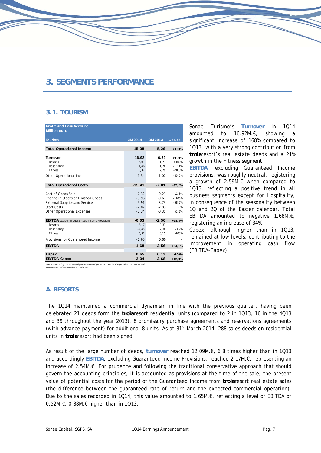## **3. SEGMENTS PERFORMANCE**

### **3.1. TOURISM**

| <b>Profit and Loss Account</b><br><b>Million euro</b> |                 |                  |                  |
|-------------------------------------------------------|-----------------|------------------|------------------|
| <b>Tourism</b>                                        | 3M 2014         | 3M 2013          | $\Delta$ 14/13   |
| <b>Total Operational Income</b>                       | 15,38           | 5,26             | >100%            |
| <b>Turnover</b>                                       | 16,92           | 6,32             | >100%            |
| <b>Resorts</b>                                        | 12.09           | 1.77             | >100%            |
| Hospitality<br><b>Fitness</b>                         | 1,46            | 1,76             | $-17,1%$         |
|                                                       | 3,37            | 2,79             | $+20,8%$         |
| Other Operational Income                              | $-1,54$         | $-1.07$          | $-45.0%$         |
| <b>Total Operational Costs</b>                        | $-15,41$        | $-7.81$          | $-97,2%$         |
| Cost of Goods Sold                                    | $-0.32$         | $-0.29$          | $-11,6%$         |
| Change in Stocks of Finished Goods                    | $-5.96$         | $-0.61$          | $< -100%$        |
| <b>External Supplies and Services</b>                 | $-5.91$         | $-3,73$          | $-58,5%$         |
| <b>Staff Costs</b>                                    | $-2.87$         | $-2.83$          | $-1,3%$          |
| <b>Other Operational Expenses</b>                     | $-0, 34$        | $-0.35$          | $+2.5%$          |
|                                                       |                 |                  |                  |
| <b>EBITDA</b> excluding Guaranteed Income Provisions  | $-0,03$         | $-2,56$          | +98,8%           |
| Resorts                                               | 2.17            | $-0.37$          |                  |
| Hospitality<br>Fitness                                | $-2,45$<br>0,31 | $-2,36$<br>0, 15 | $-3.9%$<br>>100% |
|                                                       |                 |                  |                  |
| Provisions for Guaranteed Income                      | $-1,65$         | 0,00             |                  |
| <b>EBITDA</b>                                         | $-1.68$         | $-2.56$          | $+34,1%$         |
| Capex                                                 | 0.65            | 0.12             | >100%            |
| <b>EBITDA-Capex</b>                                   | $-2.34$         | $-2.68$          | $+12,9%$         |

Sonae Turismo's **Turnover** in 1Q14 amounted to 16.92M.€, showing a significant increase of 168% compared to 1Q13, with a very strong contribution from **troia**resort's real estate deeds and a 21% growth in the Fitness segment.

**EBITDA**, excluding Guaranteed Income provisions, was roughly neutral, registering a growth of 2.59M.€ when compared to 1Q13, reflecting a positive trend in all business segments except for Hospitality, in consequence of the seasonality between 1Q and 2Q of the Easter calendar. Total EBITDA amounted to negative 1.68M.€, registering an increase of 34%.

Capex, although higher than in 1Q13, remained at low levels, contributing to the improvement in operating cash flow (EBITDA-Capex).

*\* EBITDA excluding t he est imat ed present value of potent ial cost s for the period of the Guarant eed Income from real est at e sales at troiaresort*

### **A. RESORTS**

The 1Q14 maintained a commercial dynamism in line with the previous quarter, having been celebrated 21 deeds form the **troia**resort residential units (compared to 2 in 1Q13, 16 in the 4Q13 and 39 throughout the year 2013), 8 promissory purchase agreements and reservations agreements (with advance payment) for additional 8 units. As at 31<sup>st</sup> March 2014, 288 sales deeds on residential units in **troia**resort had been signed.

As result of the large number of deeds, **turnover** reached 12.09M.€, 6.8 times higher than in 1Q13 and accordingly **EBITDA**, excluding Guaranteed Income Provisions, reached 2.17M.€, representing an increase of 2.54M.€. For prudence and following the traditional conservative approach that should govern the accounting principles, it is accounted as provisions at the time of the sale, the present value of potential costs for the period of the Guaranteed Income from **troia**resort real estate sales (the difference between the guaranteed rate of return and the expected commercial operation). Due to the sales recorded in 1Q14, this value amounted to 1.65M.€, reflecting a level of EBITDA of 0.52M.€, 0.88M.€ higher than in 1Q13.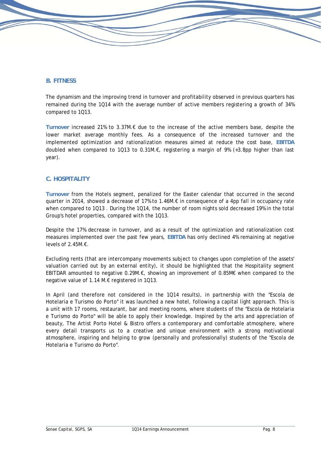### **B. FITNESS**

The dynamism and the improving trend in turnover and profitability observed in previous quarters has remained during the 1Q14 with the average number of active members registering a growth of 34% compared to 1Q13.

**Turnover** increased 21% to 3.37M.€ due to the increase of the active members base, despite the lower market average monthly fees. As a consequence of the increased turnover and the implemented optimization and rationalization measures aimed at reduce the cost base, **EBITDA** doubled when compared to 1Q13 to 0.31M.€, registering a margin of 9% (+3.8pp higher than last year).

### **C. HOSPITALITY**

**Turnover** from the Hotels segment, penalized for the Easter calendar that occurred in the second quarter in 2014, showed a decrease of 17% to 1.46M.€ in consequence of a 4pp fall in occupancy rate when compared to 1Q13 . During the 1Q14, the number of room nights sold decreased 19% in the total Group's hotel properties, compared with the 1Q13.

Despite the 17% decrease in turnover, and as a result of the optimization and rationalization cost measures implemented over the past few years, **EBITDA** has only declined 4% remaining at negative levels of 2.45M.€.

Excluding rents (that are intercompany movements subject to changes upon completion of the assets' valuation carried out by an external entity), it should be highlighted that the Hospitality segment EBITDAR amounted to negative 0.29M.€, showing an improvement of 0.85M€ when compared to the negative value of 1.14 M.€ registered in 1Q13.

In April (and therefore not considered in the 1Q14 results), in partnership with the "Escola de Hotelaria e Turismo do Porto" it was launched a new hotel, following a capital light approach. This is a unit with 17 rooms, restaurant, bar and meeting rooms, where students of the "Escola de Hotelaria e Turismo do Porto" will be able to apply their knowledge. Inspired by the arts and appreciation of beauty, The Artist Porto Hotel & Bistro offers a contemporary and comfortable atmosphere, where every detail transports us to a creative and unique environment with a strong motivational atmosphere, inspiring and helping to grow (personally and professionally) students of the "Escola de Hotelaria e Turismo do Porto".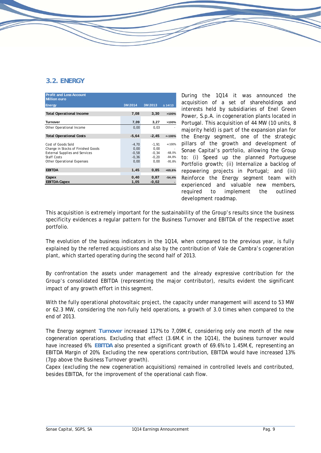### **3.2. ENERGY**

| <b>Profit and Loss Account</b><br><b>Million euro</b>                                                                                                        |                                               |                                             |                                               |
|--------------------------------------------------------------------------------------------------------------------------------------------------------------|-----------------------------------------------|---------------------------------------------|-----------------------------------------------|
| <b>Energy</b>                                                                                                                                                | 3M 2014                                       | 3M 2013                                     | $\Delta$ 14/13                                |
| <b>Total Operational Income</b>                                                                                                                              | 7,08                                          | 3,30                                        | >100%                                         |
| <b>Turnover</b>                                                                                                                                              | 7,09                                          | 3,27                                        | >100%                                         |
| Other Operational Income                                                                                                                                     | 0,00                                          | 0,03                                        |                                               |
| <b>Total Operational Costs</b>                                                                                                                               | $-5.64$                                       | $-2,45$                                     | $< -100%$                                     |
| Cost of Goods Sold<br>Change in Stocks of Finished Goods<br><b>External Supplies and Services</b><br><b>Staff Costs</b><br><b>Other Operational Expenses</b> | $-4.70$<br>0.00<br>$-0.58$<br>$-0.36$<br>0,00 | $-1.91$<br>0.00<br>$-0.34$<br>-0.20<br>0.00 | $< -100%$<br>$-68.0%$<br>$-84,8%$<br>$-95.8%$ |
| <b>EBITDA</b>                                                                                                                                                | 1,45                                          | 0,85                                        | +69,6%                                        |
| Capex<br><b>EBITDA-Capex</b>                                                                                                                                 | 0,40<br>1,05                                  | 0,87<br>$-0,02$                             | $-54.4%$                                      |

During the 1Q14 it was announced the acquisition of a set of shareholdings and interests held by subsidiaries of Enel Green Power, S.p.A. in cogeneration plants located in Portugal. This acquisition of 44 MW (10 units, 8 majority held) is part of the expansion plan for the Energy segment, one of the strategic pillars of the growth and development of Sonae Capital's portfolio, allowing the Group to: (i) Speed up the planned Portuguese Portfolio growth; (ii) Internalize a backlog of repowering projects in Portugal; and (iii) Reinforce the Energy segment team with experienced and valuable new members, required to implement the outlined development roadmap.

This acquisition is extremely important for the sustainability of the Group's results since the business specificity evidences a regular pattern for the Business Turnover and EBITDA of the respective asset portfolio.

The evolution of the business indicators in the 1Q14, when compared to the previous year, is fully explained by the referred acquisitions and also by the contribution of Vale de Cambra's cogeneration plant, which started operating during the second half of 2013.

By confrontation the assets under management and the already expressive contribution for the Group's consolidated EBITDA (representing the major contributor), results evident the significant impact of any growth effort in this segment.

With the fully operational photovoltaic project, the capacity under management will ascend to 53 MW or 62.3 MW, considering the non-fully held operations, a growth of 3.0 times when compared to the end of 2013.

The Energy segment **Turnover** increased 117% to 7,09M.€, considering only one month of the new cogeneration operations. Excluding that effect (3.6M.€ in the 1Q14), the business turnover would have increased 6%. **EBITDA** also presented a significant growth of 69.6% to 1.45M.€, representing an EBITDA Margin of 20%. Excluding the new operations contribution, EBITDA would have increased 13% (7pp above the Business Turnover growth).

Capex (excluding the new cogeneration acquisitions) remained in controlled levels and contributed, besides EBITDA, for the improvement of the operational cash flow.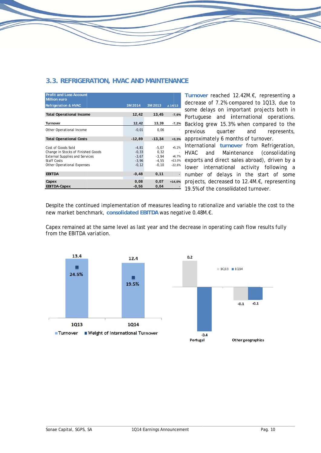

Turnover reached 12.42M.€, representing a decrease of 7.2% compared to 1013, due to some delays on important projects both in Portuguese and international operations. Backlog grew 15.3% when compared to the and represents. approximately 6 months of turnover.

International turnover from Refrigeration, Maintenance (consolidating exports and direct sales abroad), driven by a lower international activity following a number of delays in the start of some projects, decreased to 12.4M.€, representing 19.5% of the consolidated turnover.

Despite the continued implementation of measures leading to rationalize and variable the cost to the new market benchmark, consolidated EBITDA was negative 0.48M.€.

Capex remained at the same level as last year and the decrease in operating cash flow results fully from the EBITDA variation.

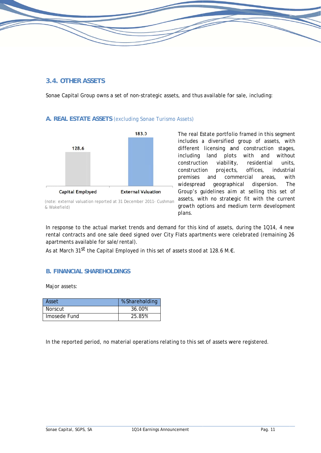### 3.4. OTHER ASSETS

Sonae Capital Group owns a set of non-strategic assets, and thus available for sale, including:

### A. REAL ESTATE ASSETS (excluding Sonae Turismo Assets)



The real Estate portfolio framed in this segment includes a diversified group of assets, with different licensing and construction stages, including land plots with and without construction viability. residential units. industrial construction projects, offices, premises and commercial areas. with widespread geographical dispersion. The Group's quidelines aim at selling this set of assets, with no strategic fit with the current growth options and medium term development plans.

In response to the actual market trends and demand for this kind of assets, during the 1Q14, 4 new rental contracts and one sale deed signed over City Flats apartments were celebrated (remaining 26 apartments available for sale/rental).

As at March 31<sup>st</sup> the Capital Employed in this set of assets stood at 128.6 M.€.

### **B. FINANCIAL SHAREHOLDINGS**

Major assets:

| Asset          | % Shareholding |
|----------------|----------------|
| <b>Norscut</b> | 36.00%         |
| Imosede Fund   | 25.85%         |

In the reported period, no material operations relating to this set of assets were registered.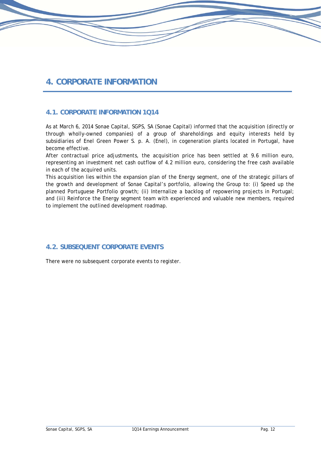## **4. CORPORATE INFORMATION**

### **4.1. CORPORATE INFORMATION 1Q14**

As at March 6, 2014 Sonae Capital, SGPS, SA (Sonae Capital) informed that the acquisition (directly or through wholly-owned companies) of a group of shareholdings and equity interests held by subsidiaries of Enel Green Power S. p. A. (Enel), in cogeneration plants located in Portugal, have become effective.

After contractual price adjustments, the acquisition price has been settled at 9.6 million euro, representing an investment net cash outflow of 4.2 million euro, considering the free cash available in each of the acquired units.

This acquisition lies within the expansion plan of the Energy segment, one of the strategic pillars of the growth and development of Sonae Capital's portfolio, allowing the Group to: (i) Speed up the planned Portuguese Portfolio growth; (ii) Internalize a backlog of repowering projects in Portugal; and (iii) Reinforce the Energy segment team with experienced and valuable new members, required to implement the outlined development roadmap.

### **4.2. SUBSEQUENT CORPORATE EVENTS**

There were no subsequent corporate events to register.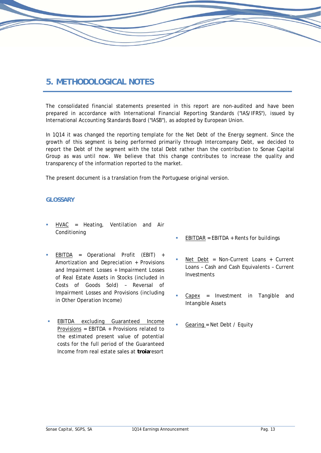## **5. METHODOLOGICAL NOTES**

The consolidated financial statements presented in this report are non-audited and have been prepared in accordance with International Financial Reporting Standards ("IAS/IFRS"), issued by International Accounting Standards Board ("IASB"), as adopted by European Union.

In 1Q14 it was changed the reporting template for the Net Debt of the Energy segment. Since the growth of this segment is being performed primarily through Intercompany Debt, we decided to report the Debt of the segment with the total Debt rather than the contribution to Sonae Capital Group as was until now. We believe that this change contributes to increase the quality and transparency of the information reported to the market.

The present document is a translation from the Portuguese original version.

### **GLOSSARY**

- HVAC = Heating, Ventilation and Air Conditioning
- EBITDA = Operational Profit  $(EBIT) +$ Amortization and Depreciation + Provisions and Impairment Losses + Impairment Losses of Real Estate Assets in Stocks (included in Costs of Goods Sold) – Reversal of Impairment Losses and Provisions (including in Other Operation Income)
- EBITDA excluding Guaranteed Income Provisions = EBITDA + Provisions related to the estimated present value of potential costs for the full period of the Guaranteed Income from real estate sales at **troia**resort
- $EBITDAR = EBITDA + Rents for buildings$
- Net Debt = Non-Current Loans + Current Loans – Cash and Cash Equivalents – Current Investments
- Capex = Investment in Tangible and Intangible Assets
- Gearing = Net Debt / Equity